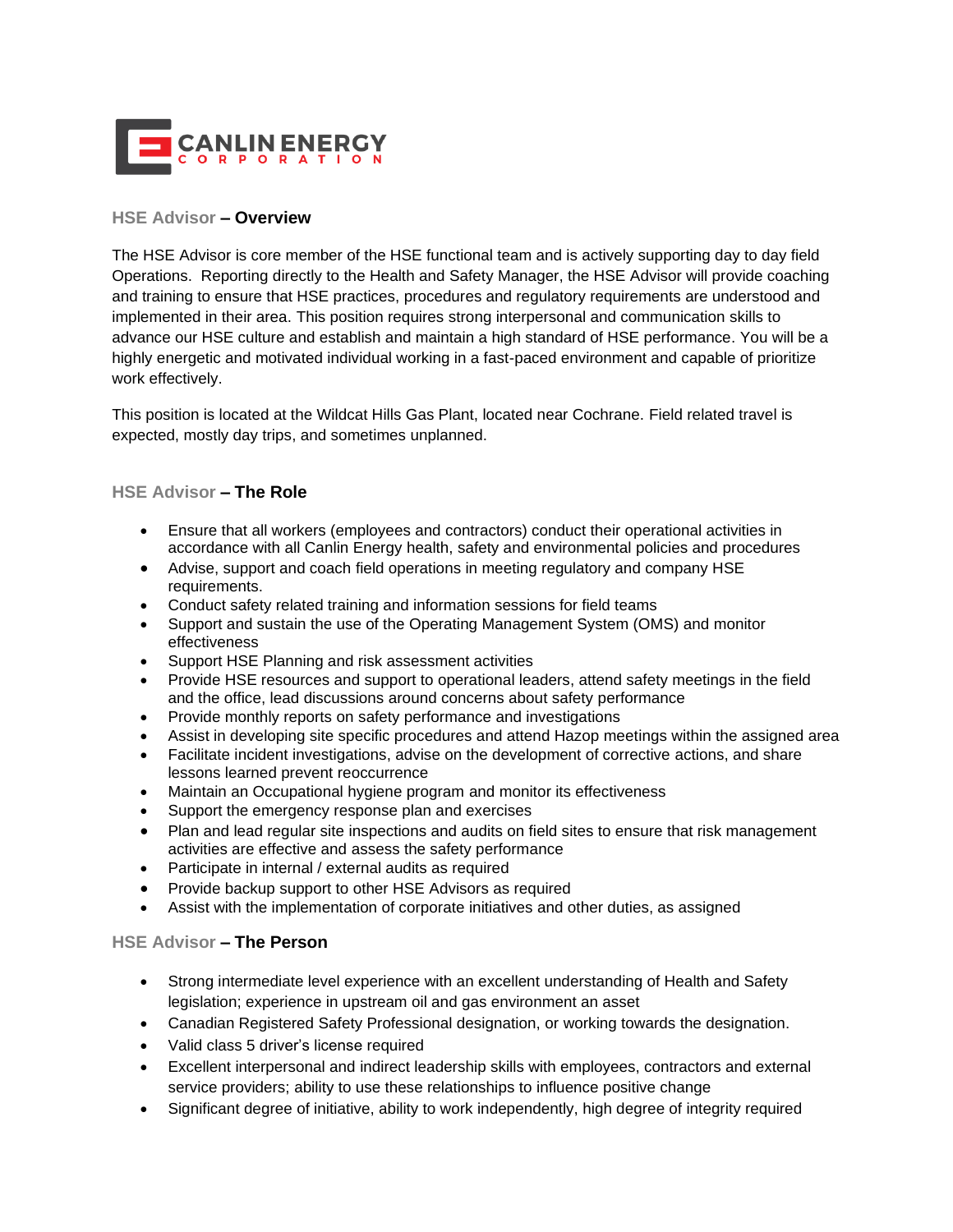

## **HSE Advisor – Overview**

The HSE Advisor is core member of the HSE functional team and is actively supporting day to day field Operations. Reporting directly to the Health and Safety Manager, the HSE Advisor will provide coaching and training to ensure that HSE practices, procedures and regulatory requirements are understood and implemented in their area. This position requires strong interpersonal and communication skills to advance our HSE culture and establish and maintain a high standard of HSE performance. You will be a highly energetic and motivated individual working in a fast-paced environment and capable of prioritize work effectively.

This position is located at the Wildcat Hills Gas Plant, located near Cochrane. Field related travel is expected, mostly day trips, and sometimes unplanned.

## **HSE Advisor – The Role**

- Ensure that all workers (employees and contractors) conduct their operational activities in accordance with all Canlin Energy health, safety and environmental policies and procedures
- Advise, support and coach field operations in meeting regulatory and company HSE requirements.
- Conduct safety related training and information sessions for field teams
- Support and sustain the use of the Operating Management System (OMS) and monitor effectiveness
- Support HSE Planning and risk assessment activities
- Provide HSE resources and support to operational leaders, attend safety meetings in the field and the office, lead discussions around concerns about safety performance
- Provide monthly reports on safety performance and investigations
- Assist in developing site specific procedures and attend Hazop meetings within the assigned area
- Facilitate incident investigations, advise on the development of corrective actions, and share lessons learned prevent reoccurrence
- Maintain an Occupational hygiene program and monitor its effectiveness
- Support the emergency response plan and exercises
- Plan and lead regular site inspections and audits on field sites to ensure that risk management activities are effective and assess the safety performance
- Participate in internal / external audits as required
- Provide backup support to other HSE Advisors as required
- Assist with the implementation of corporate initiatives and other duties, as assigned

## **HSE Advisor – The Person**

- Strong intermediate level experience with an excellent understanding of Health and Safety legislation; experience in upstream oil and gas environment an asset
- Canadian Registered Safety Professional designation, or working towards the designation.
- Valid class 5 driver's license required
- Excellent interpersonal and indirect leadership skills with employees, contractors and external service providers; ability to use these relationships to influence positive change
- Significant degree of initiative, ability to work independently, high degree of integrity required